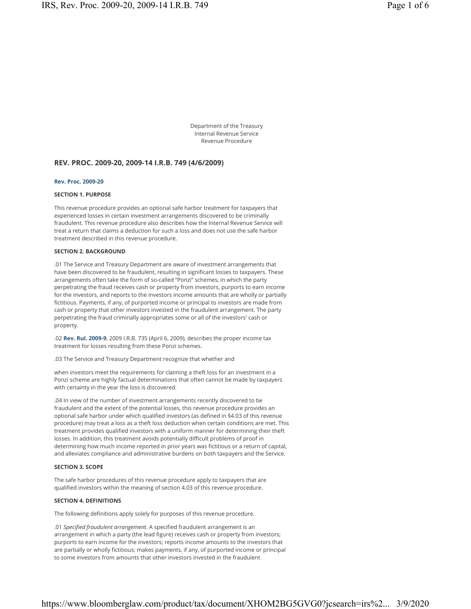Department of the Treasury Internal Revenue Service Revenue Procedure

## **REV. PROC. 2009-20, 2009-14 I.R.B. 749 (4/6/2009)**

#### **Rev. Proc. 2009-20**

### **SECTION 1. PURPOSE**

This revenue procedure provides an optional safe harbor treatment for taxpayers that experienced losses in certain investment arrangements discovered to be criminally fraudulent. This revenue procedure also describes how the Internal Revenue Service will treat a return that claims a deduction for such a loss and does not use the safe harbor treatment described in this revenue procedure.

#### **SECTION 2. BACKGROUND**

.01 The Service and Treasury Department are aware of investment arrangements that have been discovered to be fraudulent, resulting in significant losses to taxpayers. These arrangements often take the form of so-called "Ponzi" schemes, in which the party perpetrating the fraud receives cash or property from investors, purports to earn income for the investors, and reports to the investors income amounts that are wholly or partially fictitious. Payments, if any, of purported income or principal to investors are made from cash or property that other investors invested in the fraudulent arrangement. The party perpetrating the fraud criminally appropriates some or all of the investors' cash or property.

.02 **Rev. Rul. 2009-9**, 2009 I.R.B. 735 (April 6, 2009), describes the proper income tax treatment for losses resulting from these Ponzi schemes.

.03 The Service and Treasury Department recognize that whether and

when investors meet the requirements for claiming a theft loss for an investment in a Ponzi scheme are highly factual determinations that often cannot be made by taxpayers with certainty in the year the loss is discovered.

.04 In view of the number of investment arrangements recently discovered to be fraudulent and the extent of the potential losses, this revenue procedure provides an optional safe harbor under which qualified investors (as defined in §4.03 of this revenue procedure) may treat a loss as a theft loss deduction when certain conditions are met. This treatment provides qualified investors with a uniform manner for determining their theft losses. In addition, this treatment avoids potentially difficult problems of proof in determining how much income reported in prior years was fictitious or a return of capital, and alleviates compliance and administrative burdens on both taxpayers and the Service.

### **SECTION 3. SCOPE**

The safe harbor procedures of this revenue procedure apply to taxpayers that are qualified investors within the meaning of section 4.03 of this revenue procedure.

#### **SECTION 4. DEFINITIONS**

The following definitions apply solely for purposes of this revenue procedure.

.01 *Specified fraudulent arrangement*. A specified fraudulent arrangement is an arrangement in which a party (the lead figure) receives cash or property from investors; purports to earn income for the investors; reports income amounts to the investors that are partially or wholly fictitious; makes payments, if any, of purported income or principal to some investors from amounts that other investors invested in the fraudulent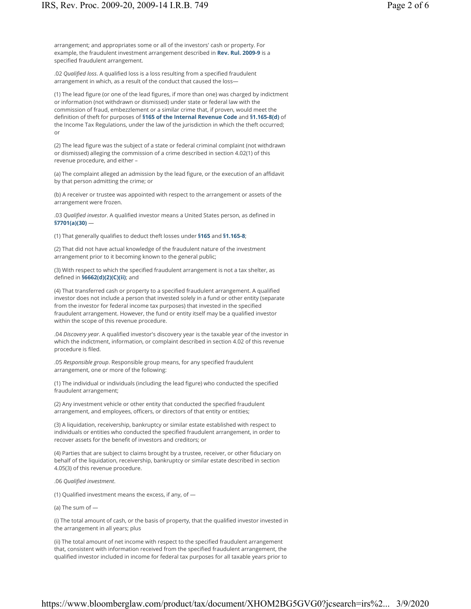arrangement; and appropriates some or all of the investors' cash or property. For example, the fraudulent investment arrangement described in **Rev. Rul. 2009-9** is a specified fraudulent arrangement.

.02 *Qualified loss*. A qualified loss is a loss resulting from a specified fraudulent arrangement in which, as a result of the conduct that caused the loss—

(1) The lead figure (or one of the lead figures, if more than one) was charged by indictment or information (not withdrawn or dismissed) under state or federal law with the commission of fraud, embezzlement or a similar crime that, if proven, would meet the definition of theft for purposes of **§165 of the Internal Revenue Code** and **§1.165-8(d)** of the Income Tax Regulations, under the law of the jurisdiction in which the theft occurred; or

(2) The lead figure was the subject of a state or federal criminal complaint (not withdrawn or dismissed) alleging the commission of a crime described in section 4.02(1) of this revenue procedure, and either –

(a) The complaint alleged an admission by the lead figure, or the execution of an affidavit by that person admitting the crime; or

(b) A receiver or trustee was appointed with respect to the arrangement or assets of the arrangement were frozen.

.03 *Qualified investor*. A qualified investor means a United States person, as defined in **§7701(a)(30)** —

(1) That generally qualifies to deduct theft losses under **§165** and **§1.165-8**;

(2) That did not have actual knowledge of the fraudulent nature of the investment arrangement prior to it becoming known to the general public;

(3) With respect to which the specified fraudulent arrangement is not a tax shelter, as defined in **§6662(d)(2)(C)(ii)**; and

(4) That transferred cash or property to a specified fraudulent arrangement. A qualified investor does not include a person that invested solely in a fund or other entity (separate from the investor for federal income tax purposes) that invested in the specified fraudulent arrangement. However, the fund or entity itself may be a qualified investor within the scope of this revenue procedure.

.04 *Discovery year*. A qualified investor's discovery year is the taxable year of the investor in which the indictment, information, or complaint described in section 4.02 of this revenue procedure is filed.

.05 *Responsible group*. Responsible group means, for any specified fraudulent arrangement, one or more of the following:

(1) The individual or individuals (including the lead figure) who conducted the specified fraudulent arrangement;

(2) Any investment vehicle or other entity that conducted the specified fraudulent arrangement, and employees, officers, or directors of that entity or entities;

(3) A liquidation, receivership, bankruptcy or similar estate established with respect to individuals or entities who conducted the specified fraudulent arrangement, in order to recover assets for the benefit of investors and creditors; or

(4) Parties that are subject to claims brought by a trustee, receiver, or other fiduciary on behalf of the liquidation, receivership, bankruptcy or similar estate described in section 4.05(3) of this revenue procedure.

.06 *Qualified investment*.

(1) Qualified investment means the excess, if any, of —

(a) The sum of —

(i) The total amount of cash, or the basis of property, that the qualified investor invested in the arrangement in all years; plus

(ii) The total amount of net income with respect to the specified fraudulent arrangement that, consistent with information received from the specified fraudulent arrangement, the qualified investor included in income for federal tax purposes for all taxable years prior to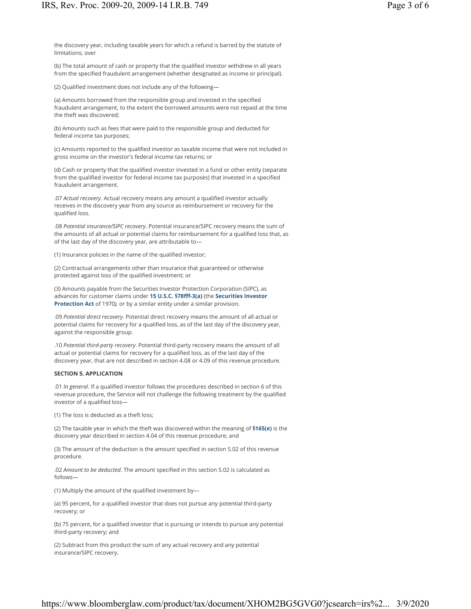the discovery year, including taxable years for which a refund is barred by the statute of limitations; over

(b) The total amount of cash or property that the qualified investor withdrew in all years from the specified fraudulent arrangement (whether designated as income or principal).

(2) Qualified investment does not include any of the following—

(a) Amounts borrowed from the responsible group and invested in the specified fraudulent arrangement, to the extent the borrowed amounts were not repaid at the time the theft was discovered;

(b) Amounts such as fees that were paid to the responsible group and deducted for federal income tax purposes;

(c) Amounts reported to the qualified investor as taxable income that were not included in gross income on the investor's federal income tax returns; or

(d) Cash or property that the qualified investor invested in a fund or other entity (separate from the qualified investor for federal income tax purposes) that invested in a specified fraudulent arrangement.

.07 *Actual recovery*. Actual recovery means any amount a qualified investor actually receives in the discovery year from any source as reimbursement or recovery for the qualified loss.

.08 *Potential insurance/SIPC recovery*. Potential insurance/SIPC recovery means the sum of the amounts of all actual or potential claims for reimbursement for a qualified loss that, as of the last day of the discovery year, are attributable to—

(1) Insurance policies in the name of the qualified investor;

(2) Contractual arrangements other than insurance that guaranteed or otherwise protected against loss of the qualified investment; or

(3) Amounts payable from the Securities Investor Protection Corporation (SIPC), as advances for customer claims under **15 U.S.C. §78fff-3(a)** (the **Securities Investor Protection Act** of 1970*),* or by a similar entity under a similar provision.

.09 *Potential direct recovery*. Potential direct recovery means the amount of all actual or potential claims for recovery for a qualified loss, as of the last day of the discovery year, against the responsible group.

.10 *Potential third-party recovery*. Potential third-party recovery means the amount of all actual or potential claims for recovery for a qualified loss, as of the last day of the discovery year, that are not described in section 4.08 or 4.09 of this revenue procedure.

## **SECTION 5. APPLICATION**

.01 *In general*. If a qualified investor follows the procedures described in section 6 of this revenue procedure, the Service will not challenge the following treatment by the qualified investor of a qualified loss—

(1) The loss is deducted as a theft loss;

(2) The taxable year in which the theft was discovered within the meaning of **§165(e)** is the discovery year described in section 4.04 of this revenue procedure; and

(3) The amount of the deduction is the amount specified in section 5.02 of this revenue procedure.

.02 *Amount to be deducted*. The amount specified in this section 5.02 is calculated as follows—

(1) Multiply the amount of the qualified investment by—

(a) 95 percent, for a qualified investor that does not pursue any potential third-party recovery; or

(b) 75 percent, for a qualified investor that is pursuing or intends to pursue any potential third-party recovery; and

(2) Subtract from this product the sum of any actual recovery and any potential insurance/SIPC recovery.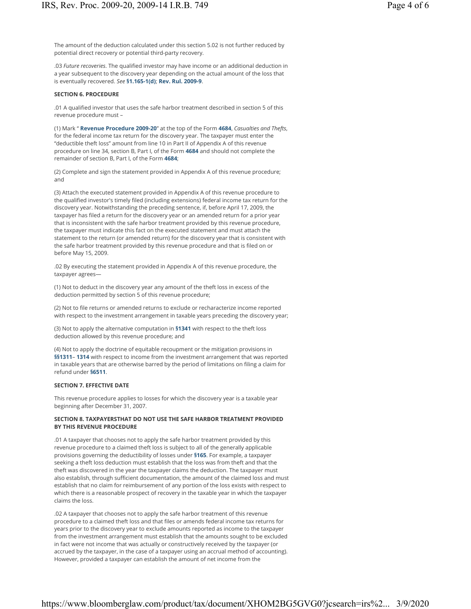.03 *Future recoveries*. The qualified investor may have income or an additional deduction in a year subsequent to the discovery year depending on the actual amount of the loss that is eventually recovered. *See* **§1.165-1(d)**; **Rev. Rul. 2009-9**.

### **SECTION 6. PROCEDURE**

.01 A qualified investor that uses the safe harbor treatment described in section 5 of this revenue procedure must –

(1) Mark " **Revenue Procedure 2009-20**" at the top of the Form **4684**, *Casualties and Thefts*, for the federal income tax return for the discovery year. The taxpayer must enter the "deductible theft loss" amount from line 10 in Part II of Appendix A of this revenue procedure on line 34, section B, Part I, of the Form **4684** and should not complete the remainder of section B, Part I, of the Form **4684**;

(2) Complete and sign the statement provided in Appendix A of this revenue procedure; and

(3) Attach the executed statement provided in Appendix A of this revenue procedure to the qualified investor's timely filed (including extensions) federal income tax return for the discovery year. Notwithstanding the preceding sentence, if, before April 17, 2009, the taxpayer has filed a return for the discovery year or an amended return for a prior year that is inconsistent with the safe harbor treatment provided by this revenue procedure, the taxpayer must indicate this fact on the executed statement and must attach the statement to the return (or amended return) for the discovery year that is consistent with the safe harbor treatment provided by this revenue procedure and that is filed on or before May 15, 2009.

.02 By executing the statement provided in Appendix A of this revenue procedure, the taxpayer agrees—

(1) Not to deduct in the discovery year any amount of the theft loss in excess of the deduction permitted by section 5 of this revenue procedure;

(2) Not to file returns or amended returns to exclude or recharacterize income reported with respect to the investment arrangement in taxable years preceding the discovery year;

(3) Not to apply the alternative computation in **§1341** with respect to the theft loss deduction allowed by this revenue procedure; and

(4) Not to apply the doctrine of equitable recoupment or the mitigation provisions in **§§1311**– **1314** with respect to income from the investment arrangement that was reported in taxable years that are otherwise barred by the period of limitations on filing a claim for refund under **§6511**.

### **SECTION 7. EFFECTIVE DATE**

This revenue procedure applies to losses for which the discovery year is a taxable year beginning after December 31, 2007.

# **SECTION 8. TAXPAYERSTHAT DO NOT USE THE SAFE HARBOR TREATMENT PROVIDED BY THIS REVENUE PROCEDURE**

.01 A taxpayer that chooses not to apply the safe harbor treatment provided by this revenue procedure to a claimed theft loss is subject to all of the generally applicable provisions governing the deductibility of losses under **§165**. For example, a taxpayer seeking a theft loss deduction must establish that the loss was from theft and that the theft was discovered in the year the taxpayer claims the deduction. The taxpayer must also establish, through sufficient documentation, the amount of the claimed loss and must establish that no claim for reimbursement of any portion of the loss exists with respect to which there is a reasonable prospect of recovery in the taxable year in which the taxpayer claims the loss.

.02 A taxpayer that chooses not to apply the safe harbor treatment of this revenue procedure to a claimed theft loss and that files or amends federal income tax returns for years prior to the discovery year to exclude amounts reported as income to the taxpayer from the investment arrangement must establish that the amounts sought to be excluded in fact were not income that was actually or constructively received by the taxpayer (or accrued by the taxpayer, in the case of a taxpayer using an accrual method of accounting). However, provided a taxpayer can establish the amount of net income from the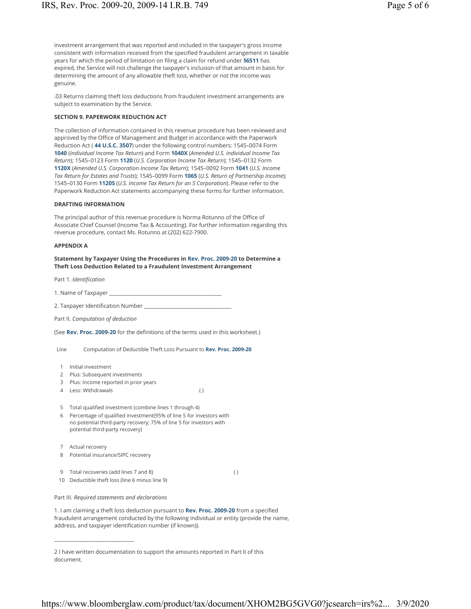investment arrangement that was reported and included in the taxpayer's gross income consistent with information received from the specified fraudulent arrangement in taxable years for which the period of limitation on filing a claim for refund under **§6511** has expired, the Service will not challenge the taxpayer's inclusion of that amount in basis for determining the amount of any allowable theft loss, whether or not the income was genuine.

.03 Returns claiming theft loss deductions from fraudulent investment arrangements are subject to examination by the Service.

### **SECTION 9. PAPERWORK REDUCTION ACT**

The collection of information contained in this revenue procedure has been reviewed and approved by the Office of Management and Budget in accordance with the Paperwork Reduction Act ( **44 U.S.C. 3507**) under the following control numbers: 1545–0074 Form **1040** (*Individual Income Tax Return*) and Form **1040X** (*Amended U.S. Individual Income Tax Return*); 1545–0123 Form **1120** (*U.S. Corporation Income Tax Return*); 1545–0132 Form **1120X** (*Amended U.S. Corporation Income Tax Return*); 1545–0092 Form **1041** (*U.S. Income Tax Return for Estates and Trusts*); 1545–0099 Form **1065** (*U.S. Return of Partnership Income*); 1545–0130 Form **1120S** (*U.S. Income Tax Return for an S Corporation*). Please refer to the Paperwork Reduction Act statements accompanying these forms for further information.

#### **DRAFTING INFORMATION**

The principal author of this revenue procedure is Norma Rotunno of the Office of Associate Chief Counsel (Income Tax & Accounting). For further information regarding this revenue procedure, contact Ms. Rotunno at (202) 622-7900.

#### **APPENDIX A**

**Statement by Taxpayer Using the Procedures in Rev. Proc. 2009-20 to Determine a Theft Loss Deduction Related to a Fraudulent Investment Arrangement**

Part 1. *Identification*

1. Name of Taxpayer \_

2. Taxpayer Identification Number \_\_\_\_\_\_\_\_\_\_\_\_\_\_\_\_\_\_\_\_\_\_\_\_\_\_\_\_\_\_\_\_\_\_\_

Part II. *Computation of deduction*

(See **Rev. Proc. 2009-20** for the definitions of the terms used in this worksheet.)

Line Computation of Deductible Theft Loss Pursuant to **Rev. Proc. 2009-20**

- 1 Initial investment
- 2 Plus: Subsequent investments
- 3 Plus: Income reported in prior years
- 4 Less: Withdrawals ( )

5 Total qualified investment (combine lines 1 through 4)

- 6 Percentage of qualified investment(95% of line 5 for investors with no potential third-party recovery; 75% of line 5 for investors with potential third-party recovery)
- 7 Actual recovery
- 8 Potential insurance/SIPC recovery

\_\_\_\_\_\_\_\_\_\_\_\_\_\_\_\_\_\_\_\_\_\_\_\_\_\_\_\_\_\_\_\_

9 Total recoveries (add lines 7 and 8) ( ) 10 Deductible theft loss (line 6 minus line 9)

Part III. *Required statements and declarations*

1. I am claiming a theft loss deduction pursuant to **Rev. Proc. 2009-20** from a specified fraudulent arrangement conducted by the following individual or entity (provide the name, address, and taxpayer identification number (if known)).

2 I have written documentation to support the amounts reported in Part II of this document.